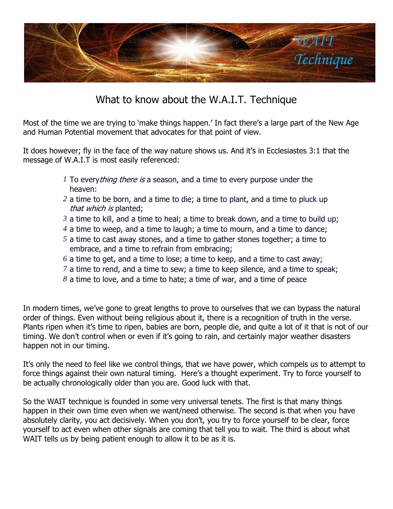

## What to know about the W.A.I.T. Technique

Most of the time we are trying to 'make things happen.' In fact there's a large part of the New Age and Human Potential movement that advocates for that point of view.

It does however; fly in the face of the way nature shows us. And it's in Ecclesiastes 3:1 that the message of W.A.I.T is most easily referenced:

- *1* To every *thing there is* a season, and a time to every purpose under the heaven:
- *2* a time to be born, and a time to die; a time to plant, and a time to pluck up that which is planted;
- *3* a time to kill, and a time to heal; a time to break down, and a time to build up;
- *4* a time to weep, and a time to laugh; a time to mourn, and a time to dance;
- *5* a time to cast away stones, and a time to gather stones together; a time to embrace, and a time to refrain from embracing;
- *6* a time to get, and a time to lose; a time to keep, and a time to cast away;
- *7* a time to rend, and a time to sew; a time to keep silence, and a time to speak;
- *8* a time to love, and a time to hate; a time of war, and a time of peace

In modern times, we've gone to great lengths to prove to ourselves that we can bypass the natural order of things. Even without being religious about it, there is a recognition of truth in the verse. Plants ripen when it's time to ripen, babies are born, people die, and quite a lot of it that is not of our timing. We don't control when or even if it's going to rain, and certainly major weather disasters happen not in our timing.

It's only the need to feel like we control things, that we have power, which compels us to attempt to force things against their own natural timing. Here's a thought experiment. Try to force yourself to be actually chronologically older than you are. Good luck with that.

So the WAIT technique is founded in some very universal tenets. The first is that many things happen in their own time even when we want/need otherwise. The second is that when you have absolutely clarity, you act decisively. When you don't, you try to force yourself to be clear, force yourself to act even when other signals are coming that tell you to wait. The third is about what WAIT tells us by being patient enough to allow it to be as it is.